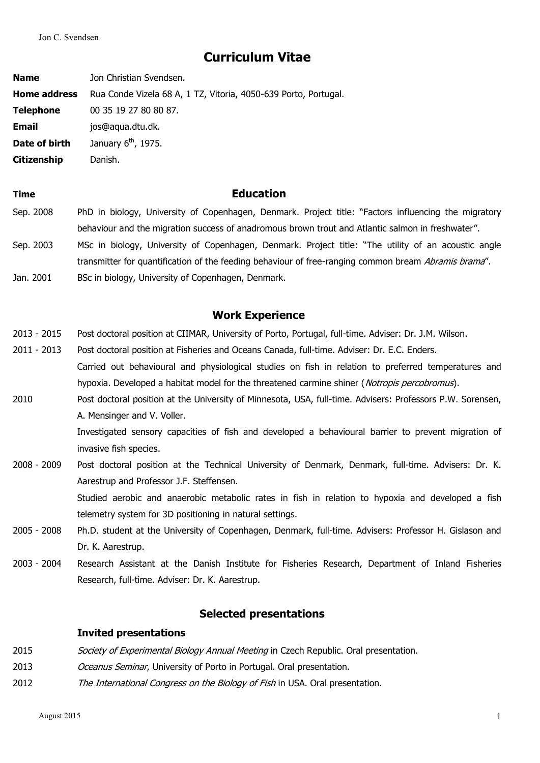# **Curriculum Vitae**

**Name** Jon Christian Svendsen. **Home address** Rua Conde Vizela 68 A, 1 TZ, Vitoria, 4050-639 Porto, Portugal. **Telephone** 00 35 19 27 80 80 87. **Email** ios@aqua.dtu.dk. **Date of birth**  $\mathrm{^{th}}$ , 1975. **Citizenship** Danish.

- **Time Education** Sep. 2008 PhD in biology, University of Copenhagen, Denmark. Project title: "Factors influencing the migratory behaviour and the migration success of anadromous brown trout and Atlantic salmon in freshwater". Sep. 2003 MSc in biology, University of Copenhagen, Denmark. Project title: "The utility of an acoustic angle transmitter for quantification of the feeding behaviour of free-ranging common bream Abramis brama".
- Jan. 2001 BSc in biology, University of Copenhagen, Denmark.

## **Work Experience**

- 2013 2015 Post doctoral position at CIIMAR, University of Porto, Portugal, full-time. Adviser: Dr. J.M. Wilson.
- 2011 2013 Post doctoral position at Fisheries and Oceans Canada, full-time. Adviser: Dr. E.C. Enders. Carried out behavioural and physiological studies on fish in relation to preferred temperatures and hypoxia. Developed a habitat model for the threatened carmine shiner (Notropis percobromus).
- 2010 Post doctoral position at the University of Minnesota, USA, full-time. Advisers: Professors P.W. Sorensen, A. Mensinger and V. Voller.

Investigated sensory capacities of fish and developed a behavioural barrier to prevent migration of invasive fish species.

2008 - 2009 Post doctoral position at the Technical University of Denmark, Denmark, full-time. Advisers: Dr. K. Aarestrup and Professor J.F. Steffensen.

> Studied aerobic and anaerobic metabolic rates in fish in relation to hypoxia and developed a fish telemetry system for 3D positioning in natural settings.

- 2005 2008 Ph.D. student at the University of Copenhagen, Denmark, full-time. Advisers: Professor H. Gislason and Dr. K. Aarestrup.
- 2003 2004 Research Assistant at the Danish Institute for Fisheries Research, Department of Inland Fisheries Research, full-time. Adviser: Dr. K. Aarestrup.

## **Selected presentations**

#### **Invited presentations**

- 2015 Society of Experimental Biology Annual Meeting in Czech Republic. Oral presentation.
- 2013 Oceanus Seminar, University of Porto in Portugal. Oral presentation.
- 2012 *The International Congress on the Biology of Fish* in USA. Oral presentation.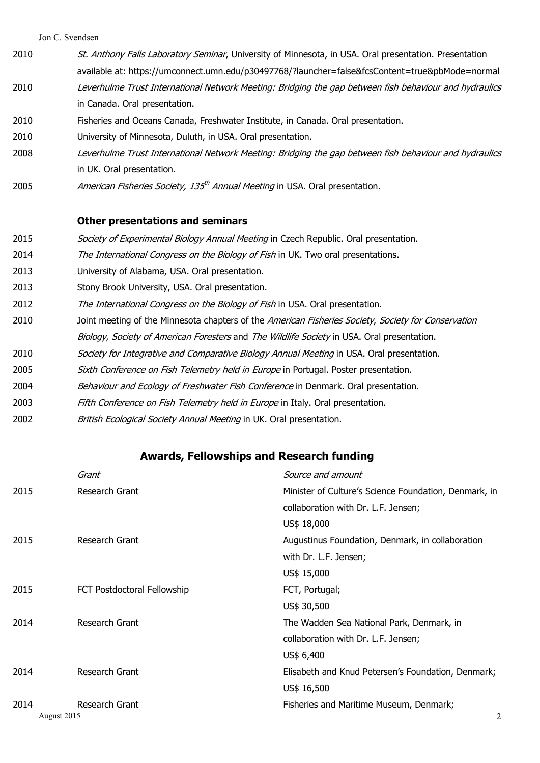- 2010 St. Anthony Falls Laboratory Seminar, University of Minnesota, in USA. Oral presentation. Presentation available at: https://umconnect.umn.edu/p30497768/?launcher=false&fcsContent=true&pbMode=normal 2010 Leverhulme Trust International Network Meeting: Bridging the gap between fish behaviour and hydraulics in Canada. Oral presentation.
- 2010 Fisheries and Oceans Canada, Freshwater Institute, in Canada. Oral presentation.
- 2010 University of Minnesota, Duluth, in USA. Oral presentation.
- 2008 Leverhulme Trust International Network Meeting: Bridging the gap between fish behaviour and hydraulics in UK. Oral presentation.
- 2005 *American Fisheries Society, 135<sup>th</sup> Annual Meeting* in USA. Oral presentation.

### **Other presentations and seminars**

- 2015 Society of Experimental Biology Annual Meeting in Czech Republic. Oral presentation.
- 2014 The International Congress on the Biology of Fish in UK. Two oral presentations.
- 2013 University of Alabama, USA. Oral presentation.
- 2013 Stony Brook University, USA. Oral presentation.
- 2012 The International Congress on the Biology of Fish in USA. Oral presentation.
- 2010 Joint meeting of the Minnesota chapters of the American Fisheries Society, Society for Conservation
	- Biology, Society of American Foresters and The Wildlife Society in USA. Oral presentation.
- 2010 Society for Integrative and Comparative Biology Annual Meeting in USA. Oral presentation.
- 2005 Sixth Conference on Fish Telemetry held in Europe in Portugal. Poster presentation.
- 2004 Behaviour and Ecology of Freshwater Fish Conference in Denmark. Oral presentation.
- 2003 Fifth Conference on Fish Telemetry held in Europe in Italy. Oral presentation.
- 2002 British Ecological Society Annual Meeting in UK. Oral presentation.

## **Awards, Fellowships and Research funding**

|             | Grant                       | Source and amount                                     |
|-------------|-----------------------------|-------------------------------------------------------|
| 2015        | Research Grant              | Minister of Culture's Science Foundation, Denmark, in |
|             |                             | collaboration with Dr. L.F. Jensen;                   |
|             |                             | US\$ 18,000                                           |
| 2015        | Research Grant              | Augustinus Foundation, Denmark, in collaboration      |
|             |                             | with Dr. L.F. Jensen;                                 |
|             |                             | US\$ 15,000                                           |
| 2015        | FCT Postdoctoral Fellowship | FCT, Portugal;                                        |
|             |                             | US\$ 30,500                                           |
| 2014        | Research Grant              | The Wadden Sea National Park, Denmark, in             |
|             |                             | collaboration with Dr. L.F. Jensen;                   |
|             |                             | US\$ 6,400                                            |
| 2014        | Research Grant              | Elisabeth and Knud Petersen's Foundation, Denmark;    |
|             |                             | US\$ 16,500                                           |
| 2014        | Research Grant              | Fisheries and Maritime Museum, Denmark;               |
| August 2015 |                             | 2                                                     |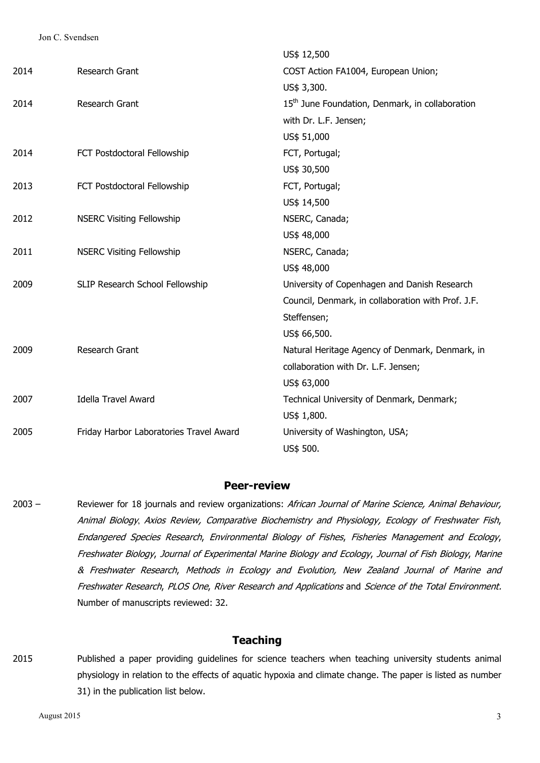|      |                                         | US\$ 12,500                                                 |
|------|-----------------------------------------|-------------------------------------------------------------|
| 2014 | Research Grant                          | COST Action FA1004, European Union;                         |
|      |                                         | US\$ 3,300.                                                 |
| 2014 | Research Grant                          | 15 <sup>th</sup> June Foundation, Denmark, in collaboration |
|      |                                         | with Dr. L.F. Jensen;                                       |
|      |                                         | US\$ 51,000                                                 |
| 2014 | FCT Postdoctoral Fellowship             | FCT, Portugal;                                              |
|      |                                         | US\$ 30,500                                                 |
| 2013 | FCT Postdoctoral Fellowship             | FCT, Portugal;                                              |
|      |                                         | US\$ 14,500                                                 |
| 2012 | <b>NSERC Visiting Fellowship</b>        | NSERC, Canada;                                              |
|      |                                         | US\$ 48,000                                                 |
| 2011 | <b>NSERC Visiting Fellowship</b>        | NSERC, Canada;                                              |
|      |                                         | US\$ 48,000                                                 |
| 2009 | SLIP Research School Fellowship         | University of Copenhagen and Danish Research                |
|      |                                         | Council, Denmark, in collaboration with Prof. J.F.          |
|      |                                         | Steffensen;                                                 |
|      |                                         | US\$ 66,500.                                                |
| 2009 | Research Grant                          | Natural Heritage Agency of Denmark, Denmark, in             |
|      |                                         | collaboration with Dr. L.F. Jensen;                         |
|      |                                         | US\$ 63,000                                                 |
| 2007 | <b>Idella Travel Award</b>              | Technical University of Denmark, Denmark;                   |
|      |                                         | US\$ 1,800.                                                 |
| 2005 | Friday Harbor Laboratories Travel Award | University of Washington, USA;                              |
|      |                                         | US\$ 500.                                                   |

#### **Peer-review**

2003 – Reviewer for 18 journals and review organizations: African Journal of Marine Science, Animal Behaviour, Animal Biology, Axios Review, Comparative Biochemistry and Physiology, Ecology of Freshwater Fish, Endangered Species Research, Environmental Biology of Fishes, Fisheries Management and Ecology, Freshwater Biology, Journal of Experimental Marine Biology and Ecology, Journal of Fish Biology, Marine & Freshwater Research, Methods in Ecology and Evolution, New Zealand Journal of Marine and Freshwater Research, PLOS One, River Research and Applications and Science of the Total Environment. Number of manuscripts reviewed: 32.

## **Teaching**

2015 Published a paper providing guidelines for science teachers when teaching university students animal physiology in relation to the effects of aquatic hypoxia and climate change. The paper is listed as number 31) in the publication list below.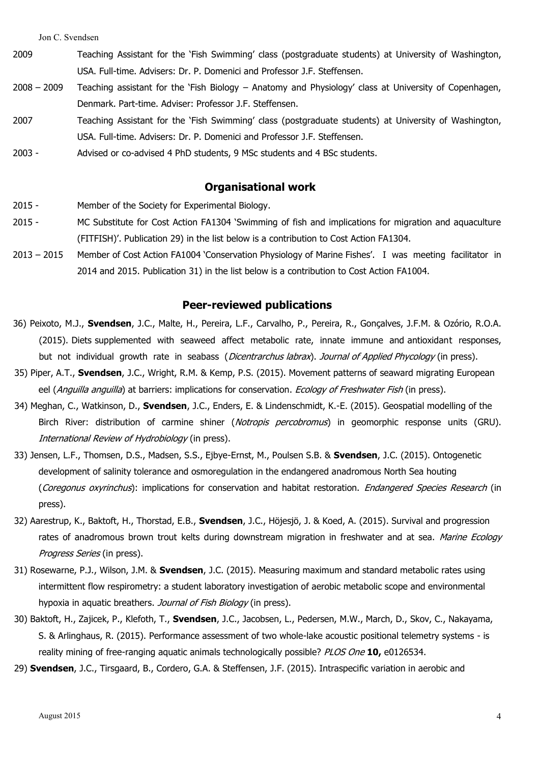- 2009 Teaching Assistant for the 'Fish Swimming' class (postgraduate students) at University of Washington, USA. Full-time. Advisers: Dr. P. Domenici and Professor J.F. Steffensen.
- 2008 2009 Teaching assistant for the 'Fish Biology Anatomy and Physiology' class at University of Copenhagen, Denmark. Part-time. Adviser: Professor J.F. Steffensen.
- 2007 Teaching Assistant for the 'Fish Swimming' class (postgraduate students) at University of Washington, USA. Full-time. Advisers: Dr. P. Domenici and Professor J.F. Steffensen.
- 2003 Advised or co-advised 4 PhD students, 9 MSc students and 4 BSc students.

## **Organisational work**

- 2015 Member of the Society for Experimental Biology.
- 2015 MC Substitute for Cost Action FA1304 'Swimming of fish and implications for migration and aquaculture (FITFISH)'. Publication 29) in the list below is a contribution to Cost Action FA1304.
- 2013 2015 Member of Cost Action FA1004 'Conservation Physiology of Marine Fishes'. I was meeting facilitator in 2014 and 2015. Publication 31) in the list below is a contribution to Cost Action FA1004.

### **Peer-reviewed publications**

- 36) Peixoto, M.J., **Svendsen**, J.C., Malte, H., Pereira, L.F., Carvalho, P., Pereira, R., Gonçalves, J.F.M. & Ozório, R.O.A. (2015). Diets supplemented with seaweed affect metabolic rate, innate immune and antioxidant responses, but not individual growth rate in seabass (*Dicentrarchus labrax*). Journal of Applied Phycology (in press).
- 35) Piper, A.T., **Svendsen**, J.C., Wright, R.M. & Kemp, P.S. (2015). Movement patterns of seaward migrating European eel (Anguilla anguilla) at barriers: implications for conservation. *Ecology of Freshwater Fish* (in press).
- 34) Meghan, C., Watkinson, D., **Svendsen**, J.C., Enders, E. & Lindenschmidt, K.-E. (2015). Geospatial modelling of the Birch River: distribution of carmine shiner (*Notropis percobromus*) in geomorphic response units (GRU). International Review of Hydrobiology (in press).
- 33) Jensen, L.F., Thomsen, D.S., Madsen, S.S., Ejbye-Ernst, M., Poulsen S.B. & **Svendsen**, J.C. (2015). Ontogenetic development of salinity tolerance and osmoregulation in the endangered anadromous North Sea houting (Coregonus oxyrinchus): implications for conservation and habitat restoration. Endangered Species Research (in press).
- 32) Aarestrup, K., Baktoft, H., Thorstad, E.B., **Svendsen**, J.C., Höjesjö, J. & Koed, A. (2015). Survival and progression rates of anadromous brown trout kelts during downstream migration in freshwater and at sea. Marine Ecology Progress Series (in press).
- 31) Rosewarne, P.J., Wilson, J.M. & **Svendsen**, J.C. (2015). Measuring maximum and standard metabolic rates using intermittent flow respirometry: a student laboratory investigation of aerobic metabolic scope and environmental hypoxia in aquatic breathers. Journal of Fish Biology (in press).
- 30) Baktoft, H., Zajicek, P., Klefoth, T., **Svendsen**, J.C., Jacobsen, L., Pedersen, M.W., March, D., Skov, C., Nakayama, S. & Arlinghaus, R. (2015). Performance assessment of two whole-lake acoustic positional telemetry systems - is reality mining of free-ranging aquatic animals technologically possible? PLOS One **10,** e0126534.
- 29) **Svendsen**, J.C., Tirsgaard, B., Cordero, G.A. & Steffensen, J.F. (2015). Intraspecific variation in aerobic and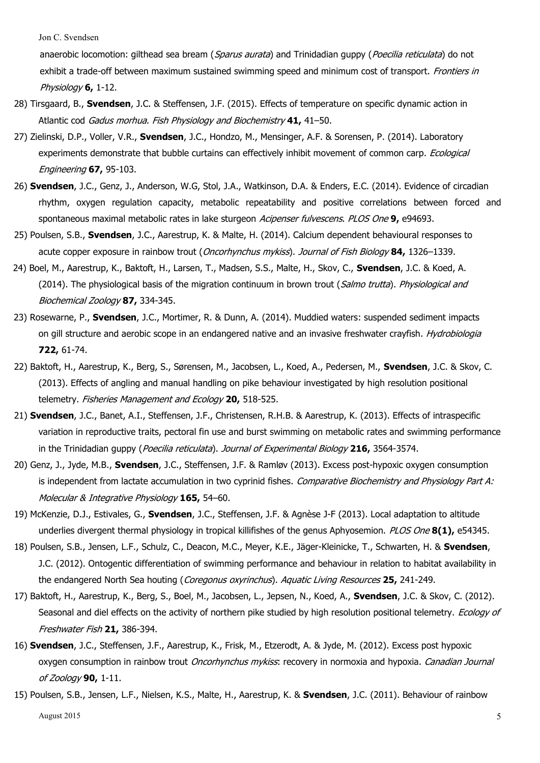anaerobic locomotion: gilthead sea bream (Sparus aurata) and Trinidadian guppy (Poecilia reticulata) do not exhibit a trade-off between maximum sustained swimming speed and minimum cost of transport. Frontiers in Physiology **6,** 1-12.

- 28) Tirsgaard, B., **Svendsen**, J.C. & Steffensen, J.F. (2015). Effects of temperature on specific dynamic action in Atlantic cod Gadus morhua. Fish Physiology and Biochemistry **41,** 41–50.
- 27) Zielinski, D.P., Voller, V.R., **Svendsen**, J.C., Hondzo, M., Mensinger, A.F. & Sorensen, P. (2014). Laboratory experiments demonstrate that bubble curtains can effectively inhibit movement of common carp. Ecological Engineering **67,** 95-103.
- 26) **Svendsen**, J.C., Genz, J., Anderson, W.G, Stol, J.A., Watkinson, D.A. & Enders, E.C. (2014). Evidence of circadian rhythm, oxygen regulation capacity, metabolic repeatability and positive correlations between forced and spontaneous maximal metabolic rates in lake sturgeon Acipenser fulvescens. PLOS One **9,** e94693.
- 25) Poulsen, S.B., **Svendsen**, J.C., Aarestrup, K. & Malte, H. (2014). Calcium dependent behavioural responses to acute copper exposure in rainbow trout (Oncorhynchus mykiss). Journal of Fish Biology **84,** 1326–1339.
- 24) Boel, M., Aarestrup, K., Baktoft, H., Larsen, T., Madsen, S.S., Malte, H., Skov, C., **Svendsen**, J.C. & Koed, A. (2014). The physiological basis of the migration continuum in brown trout (*Salmo trutta*). *Physiological and* Biochemical Zoology **87,** 334-345.
- 23) Rosewarne, P., **Svendsen**, J.C., Mortimer, R. & Dunn, A. (2014). Muddied waters: suspended sediment impacts on gill structure and aerobic scope in an endangered native and an invasive freshwater crayfish. *Hydrobiologia* **722,** 61-74.
- 22) Baktoft, H., Aarestrup, K., Berg, S., Sørensen, M., Jacobsen, L., Koed, A., Pedersen, M., **Svendsen**, J.C. & Skov, C. (2013). Effects of angling and manual handling on pike behaviour investigated by high resolution positional telemetry. Fisheries Management and Ecology **20,** 518-525.
- 21) **Svendsen**, J.C., Banet, A.I., Steffensen, J.F., Christensen, R.H.B. & Aarestrup, K. (2013). Effects of intraspecific variation in reproductive traits, pectoral fin use and burst swimming on metabolic rates and swimming performance in the Trinidadian guppy (Poecilia reticulata). Journal of Experimental Biology **216,** 3564-3574.
- 20) Genz, J., Jyde, M.B., **Svendsen**, J.C., Steffensen, J.F. & Ramløv (2013). Excess post-hypoxic oxygen consumption is independent from lactate accumulation in two cyprinid fishes. Comparative Biochemistry and Physiology Part A: Molecular & Integrative Physiology **165,** 54–60.
- 19) McKenzie, D.J., Estivales, G., **Svendsen**, J.C., Steffensen, J.F. & Agnèse J-F (2013). Local adaptation to altitude underlies divergent thermal physiology in tropical killifishes of the genus Aphyosemion. PLOS One **8(1),** e54345.
- 18) Poulsen, S.B., Jensen, L.F., Schulz, C., Deacon, M.C., Meyer, K.E., Jäger-Kleinicke, T., Schwarten, H. & **Svendsen**, J.C. (2012). Ontogentic differentiation of swimming performance and behaviour in relation to habitat availability in the endangered North Sea houting (Coregonus oxyrinchus). Aquatic Living Resources **25,** 241-249.
- 17) Baktoft, H., Aarestrup, K., Berg, S., Boel, M., Jacobsen, L., Jepsen, N., Koed, A., **Svendsen**, J.C. & Skov, C. (2012). Seasonal and diel effects on the activity of northern pike studied by high resolution positional telemetry. Ecology of Freshwater Fish **21,** 386-394.
- 16) **Svendsen**, J.C., Steffensen, J.F., Aarestrup, K., Frisk, M., Etzerodt, A. & Jyde, M. (2012). Excess post hypoxic oxygen consumption in rainbow trout Oncorhynchus mykiss: recovery in normoxia and hypoxia. Canadian Journal of Zoology **90,** 1-11.
- August 2015 **5** 15) Poulsen, S.B., Jensen, L.F., Nielsen, K.S., Malte, H., Aarestrup, K. & **Svendsen**, J.C. (2011). Behaviour of rainbow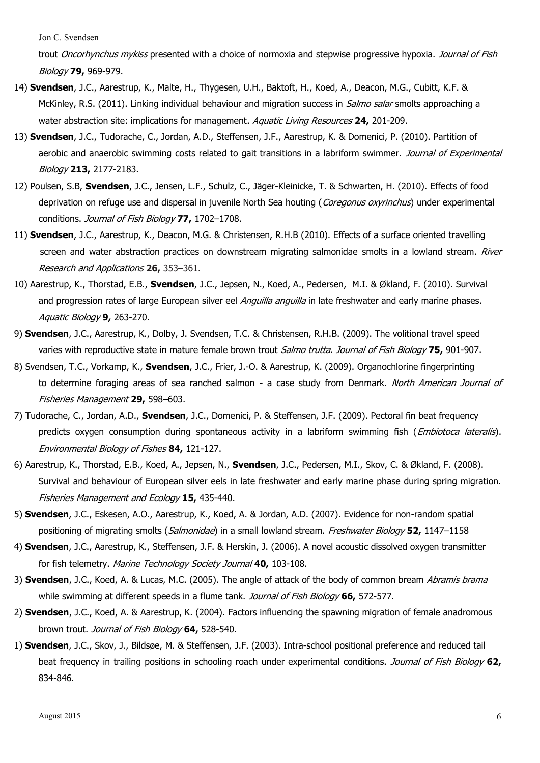trout Oncorhynchus mykiss presented with a choice of normoxia and stepwise progressive hypoxia. Journal of Fish Biology **79,** 969-979.

- 14) **Svendsen**, J.C., Aarestrup, K., Malte, H., Thygesen, U.H., Baktoft, H., Koed, A., Deacon, M.G., Cubitt, K.F. & McKinley, R.S. (2011). Linking individual behaviour and migration success in *Salmo salar* smolts approaching a water abstraction site: implications for management. Aquatic Living Resources **24,** 201-209.
- 13) **Svendsen**, J.C., Tudorache, C., Jordan, A.D., Steffensen, J.F., Aarestrup, K. & Domenici, P. (2010). Partition of aerobic and anaerobic swimming costs related to gait transitions in a labriform swimmer. Journal of Experimental Biology **213,** 2177-2183.
- 12) Poulsen, S.B, **Svendsen**, J.C., Jensen, L.F., Schulz, C., Jäger-Kleinicke, T. & Schwarten, H. (2010). Effects of food deprivation on refuge use and dispersal in juvenile North Sea houting (Coregonus oxyrinchus) under experimental conditions. Journal of Fish Biology **77,** 1702–1708.
- 11) **Svendsen**, J.C., Aarestrup, K., Deacon, M.G. & Christensen, R.H.B (2010). Effects of a surface oriented travelling screen and water abstraction practices on downstream migrating salmonidae smolts in a lowland stream. River Research and Applications **26,** 353–361.
- 10) Aarestrup, K., Thorstad, E.B., **Svendsen**, J.C., Jepsen, N., Koed, A., Pedersen, M.I. & Økland, F. (2010). Survival and progression rates of large European silver eel Anguilla anguilla in late freshwater and early marine phases. Aquatic Biology **9,** 263-270.
- 9) **Svendsen**, J.C., Aarestrup, K., Dolby, J. Svendsen, T.C. & Christensen, R.H.B. (2009). The volitional travel speed varies with reproductive state in mature female brown trout Salmo trutta. Journal of Fish Biology **75,** 901-907.
- 8) Svendsen, T.C., Vorkamp, K., **Svendsen**, J.C., Frier, J.-O. & Aarestrup, K. (2009). Organochlorine fingerprinting to determine foraging areas of sea ranched salmon - a case study from Denmark. North American Journal of Fisheries Management **29,** 598–603.
- 7) Tudorache, C., Jordan, A.D., **Svendsen**, J.C., Domenici, P. & Steffensen, J.F. (2009). Pectoral fin beat frequency predicts oxygen consumption during spontaneous activity in a labriform swimming fish (*Embiotoca lateralis*). Environmental Biology of Fishes **84,** 121-127.
- 6) Aarestrup, K., Thorstad, E.B., Koed, A., Jepsen, N., **Svendsen**, J.C., Pedersen, M.I., Skov, C. & Økland, F. (2008). Survival and behaviour of European silver eels in late freshwater and early marine phase during spring migration. Fisheries Management and Ecology **15,** 435-440.
- 5) **Svendsen**, J.C., Eskesen, A.O., Aarestrup, K., Koed, A. & Jordan, A.D. (2007). Evidence for non-random spatial positioning of migrating smolts (Salmonidae) in a small lowland stream. Freshwater Biology **52,** 1147–1158
- 4) **Svendsen**, J.C., Aarestrup, K., Steffensen, J.F. & Herskin, J. (2006). A novel acoustic dissolved oxygen transmitter for fish telemetry. Marine Technology Society Journal **40,** 103-108.
- 3) **Svendsen**, J.C., Koed, A. & Lucas, M.C. (2005). The angle of attack of the body of common bream Abramis brama while swimming at different speeds in a flume tank. Journal of Fish Biology **66,** 572-577.
- 2) **Svendsen**, J.C., Koed, A. & Aarestrup, K. (2004). Factors influencing the spawning migration of female anadromous brown trout. Journal of Fish Biology **64,** 528-540.
- 1) **Svendsen**, J.C., Skov, J., Bildsøe, M. & Steffensen, J.F. (2003). Intra-school positional preference and reduced tail beat frequency in trailing positions in schooling roach under experimental conditions. Journal of Fish Biology **62,** 834-846.